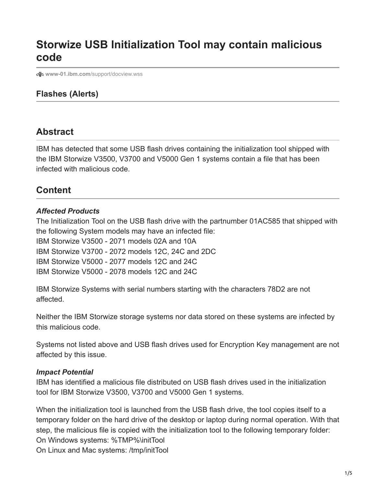# **Storwize USB Initialization Tool may contain malicious code**

**www-01.ibm.com**[/support/docview.wss](https://www-01.ibm.com/support/docview.wss?uid=ssg1S1010146)

## **Flashes (Alerts)**

## **Abstract**

IBM has detected that some USB flash drives containing the initialization tool shipped with the IBM Storwize V3500, V3700 and V5000 Gen 1 systems contain a file that has been infected with malicious code.

# **Content**

#### *Affected Products*

The Initialization Tool on the USB flash drive with the partnumber 01AC585 that shipped with the following System models may have an infected file: IBM Storwize V3500 - 2071 models 02A and 10A IBM Storwize V3700 - 2072 models 12C, 24C and 2DC IBM Storwize V5000 - 2077 models 12C and 24C IBM Storwize V5000 - 2078 models 12C and 24C

IBM Storwize Systems with serial numbers starting with the characters 78D2 are not affected.

Neither the IBM Storwize storage systems nor data stored on these systems are infected by this malicious code.

Systems not listed above and USB flash drives used for Encryption Key management are not affected by this issue.

#### *Impact Potential*

IBM has identified a malicious file distributed on USB flash drives used in the initialization tool for IBM Storwize V3500, V3700 and V5000 Gen 1 systems.

When the initialization tool is launched from the USB flash drive, the tool copies itself to a temporary folder on the hard drive of the desktop or laptop during normal operation. With that step, the malicious file is copied with the initialization tool to the following temporary folder: On Windows systems: %TMP%\initTool On Linux and Mac systems: /tmp/initTool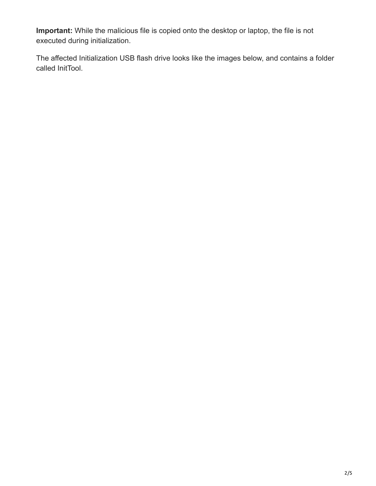**Important:** While the malicious file is copied onto the desktop or laptop, the file is not executed during initialization.

The affected Initialization USB flash drive looks like the images below, and contains a folder called InitTool.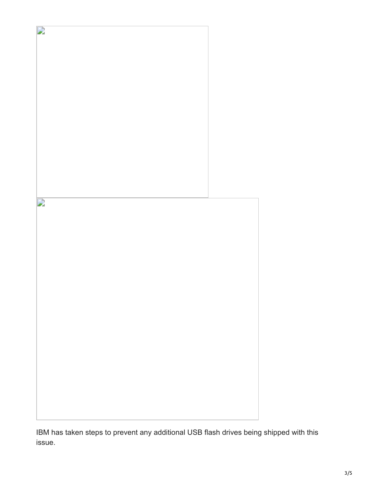

IBM has taken steps to prevent any additional USB flash drives being shipped with this issue.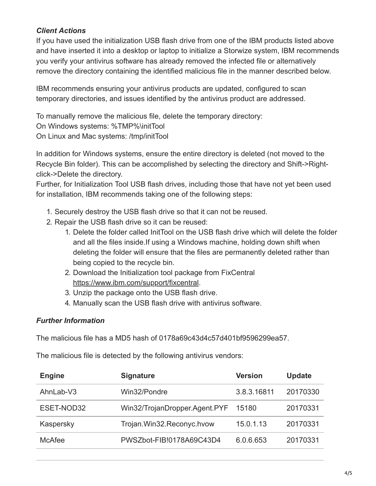## *Client Actions*

If you have used the initialization USB flash drive from one of the IBM products listed above and have inserted it into a desktop or laptop to initialize a Storwize system, IBM recommends you verify your antivirus software has already removed the infected file or alternatively remove the directory containing the identified malicious file in the manner described below.

IBM recommends ensuring your antivirus products are updated, configured to scan temporary directories, and issues identified by the antivirus product are addressed.

To manually remove the malicious file, delete the temporary directory: On Windows systems: %TMP%\initTool On Linux and Mac systems: /tmp/initTool

In addition for Windows systems, ensure the entire directory is deleted (not moved to the Recycle Bin folder). This can be accomplished by selecting the directory and Shift->Rightclick->Delete the directory.

Further, for Initialization Tool USB flash drives, including those that have not yet been used for installation, IBM recommends taking one of the following steps:

- 1. Securely destroy the USB flash drive so that it can not be reused.
- 2. Repair the USB flash drive so it can be reused:
	- 1. Delete the folder called InitTool on the USB flash drive which will delete the folder and all the files inside.If using a Windows machine, holding down shift when deleting the folder will ensure that the files are permanently deleted rather than being copied to the recycle bin.
	- 2. Download the Initialization tool package from FixCentral [https://www.ibm.com/support/fixcentral.](https://www.ibm.com/support/fixcentral)
	- 3. Unzip the package onto the USB flash drive.
	- 4. Manually scan the USB flash drive with antivirus software.

## *Further Information*

The malicious file has a MD5 hash of 0178a69c43d4c57d401bf9596299ea57.

The malicious file is detected by the following antivirus vendors:

| <b>Engine</b> | <b>Signature</b>              | <b>Version</b> | <b>Update</b> |
|---------------|-------------------------------|----------------|---------------|
| AhnLab-V3     | Win32/Pondre                  | 3.8.3.16811    | 20170330      |
| ESET-NOD32    | Win32/TrojanDropper.Agent.PYF | 15180          | 20170331      |
| Kaspersky     | Trojan.Win32.Reconyc.hvow     | 15.0.1.13      | 20170331      |
| <b>McAfee</b> | PWSZbot-FIB!0178A69C43D4      | 6.0.6.653      | 20170331      |